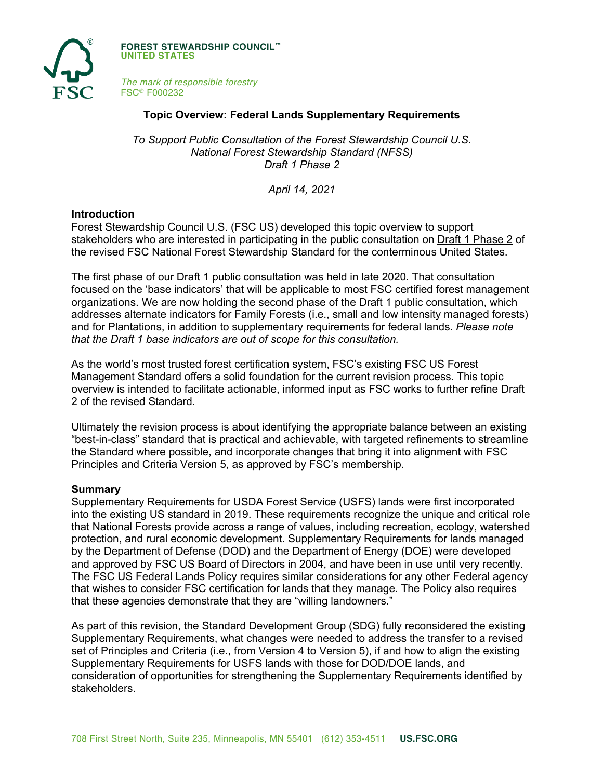

**FOREST STEWARDSHIP COUNCIL™ UNITED STATES**

*The mark of responsible forestry* FSC® F000232

### **Topic Overview: Federal Lands Supplementary Requirements**

*To Support Public Consultation of the Forest Stewardship Council U.S. National Forest Stewardship Standard (NFSS) Draft 1 Phase 2*

*April 14, 2021*

#### **Introduction**

Forest Stewardship Council U.S. (FSC US) developed this topic overview to support stakeholders who are interested in participating in the public consultation on Draft 1 Phase 2 of the revised FSC National Forest Stewardship Standard for the conterminous United States.

The first phase of our Draft 1 public consultation was held in late 2020. That consultation focused on the 'base indicators' that will be applicable to most FSC certified forest management organizations. We are now holding the second phase of the Draft 1 public consultation, which addresses alternate indicators for Family Forests (i.e., small and low intensity managed forests) and for Plantations, in addition to supplementary requirements for federal lands. *Please note that the Draft 1 base indicators are out of scope for this consultation.*

As the world's most trusted forest certification system, FSC's existing FSC US Forest Management Standard offers a solid foundation for the current revision process. This topic overview is intended to facilitate actionable, informed input as FSC works to further refine Draft 2 of the revised Standard.

Ultimately the revision process is about identifying the appropriate balance between an existing "best-in-class" standard that is practical and achievable, with targeted refinements to streamline the Standard where possible, and incorporate changes that bring it into alignment with FSC Principles and Criteria Version 5, as approved by FSC's membership.

#### **Summary**

Supplementary Requirements for USDA Forest Service (USFS) lands were first incorporated into the existing US standard in 2019. These requirements recognize the unique and critical role that National Forests provide across a range of values, including recreation, ecology, watershed protection, and rural economic development. Supplementary Requirements for lands managed by the Department of Defense (DOD) and the Department of Energy (DOE) were developed and approved by FSC US Board of Directors in 2004, and have been in use until very recently. The FSC US Federal Lands Policy requires similar considerations for any other Federal agency that wishes to consider FSC certification for lands that they manage. The Policy also requires that these agencies demonstrate that they are "willing landowners."

As part of this revision, the Standard Development Group (SDG) fully reconsidered the existing Supplementary Requirements, what changes were needed to address the transfer to a revised set of Principles and Criteria (i.e., from Version 4 to Version 5), if and how to align the existing Supplementary Requirements for USFS lands with those for DOD/DOE lands, and consideration of opportunities for strengthening the Supplementary Requirements identified by stakeholders.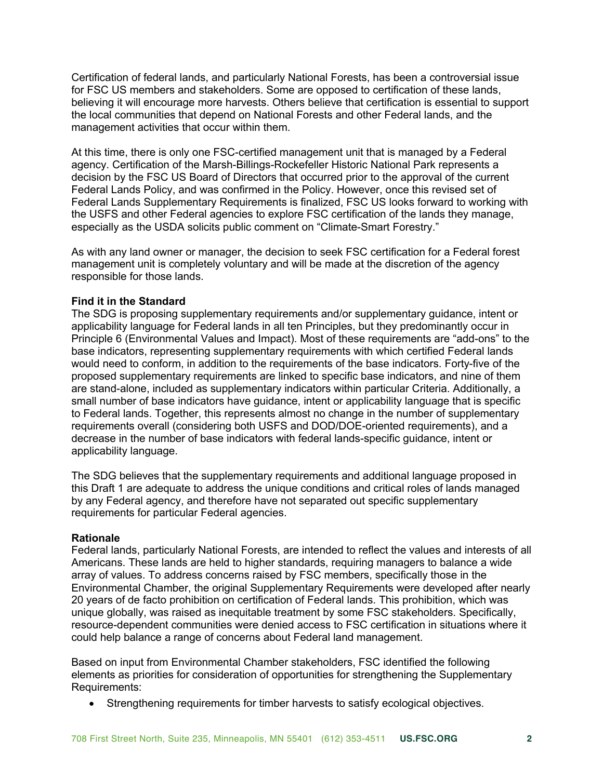Certification of federal lands, and particularly National Forests, has been a controversial issue for FSC US members and stakeholders. Some are opposed to certification of these lands, believing it will encourage more harvests. Others believe that certification is essential to support the local communities that depend on National Forests and other Federal lands, and the management activities that occur within them.

At this time, there is only one FSC-certified management unit that is managed by a Federal agency. Certification of the Marsh-Billings-Rockefeller Historic National Park represents a decision by the FSC US Board of Directors that occurred prior to the approval of the current Federal Lands Policy, and was confirmed in the Policy. However, once this revised set of Federal Lands Supplementary Requirements is finalized, FSC US looks forward to working with the USFS and other Federal agencies to explore FSC certification of the lands they manage, especially as the USDA solicits public comment on "Climate-Smart Forestry."

As with any land owner or manager, the decision to seek FSC certification for a Federal forest management unit is completely voluntary and will be made at the discretion of the agency responsible for those lands.

### **Find it in the Standard**

The SDG is proposing supplementary requirements and/or supplementary guidance, intent or applicability language for Federal lands in all ten Principles, but they predominantly occur in Principle 6 (Environmental Values and Impact). Most of these requirements are "add-ons" to the base indicators, representing supplementary requirements with which certified Federal lands would need to conform, in addition to the requirements of the base indicators. Forty-five of the proposed supplementary requirements are linked to specific base indicators, and nine of them are stand-alone, included as supplementary indicators within particular Criteria. Additionally, a small number of base indicators have guidance, intent or applicability language that is specific to Federal lands. Together, this represents almost no change in the number of supplementary requirements overall (considering both USFS and DOD/DOE-oriented requirements), and a decrease in the number of base indicators with federal lands-specific guidance, intent or applicability language.

The SDG believes that the supplementary requirements and additional language proposed in this Draft 1 are adequate to address the unique conditions and critical roles of lands managed by any Federal agency, and therefore have not separated out specific supplementary requirements for particular Federal agencies.

### **Rationale**

Federal lands, particularly National Forests, are intended to reflect the values and interests of all Americans. These lands are held to higher standards, requiring managers to balance a wide array of values. To address concerns raised by FSC members, specifically those in the Environmental Chamber, the original Supplementary Requirements were developed after nearly 20 years of de facto prohibition on certification of Federal lands. This prohibition, which was unique globally, was raised as inequitable treatment by some FSC stakeholders. Specifically, resource-dependent communities were denied access to FSC certification in situations where it could help balance a range of concerns about Federal land management.

Based on input from Environmental Chamber stakeholders, FSC identified the following elements as priorities for consideration of opportunities for strengthening the Supplementary Requirements:

• Strengthening requirements for timber harvests to satisfy ecological objectives.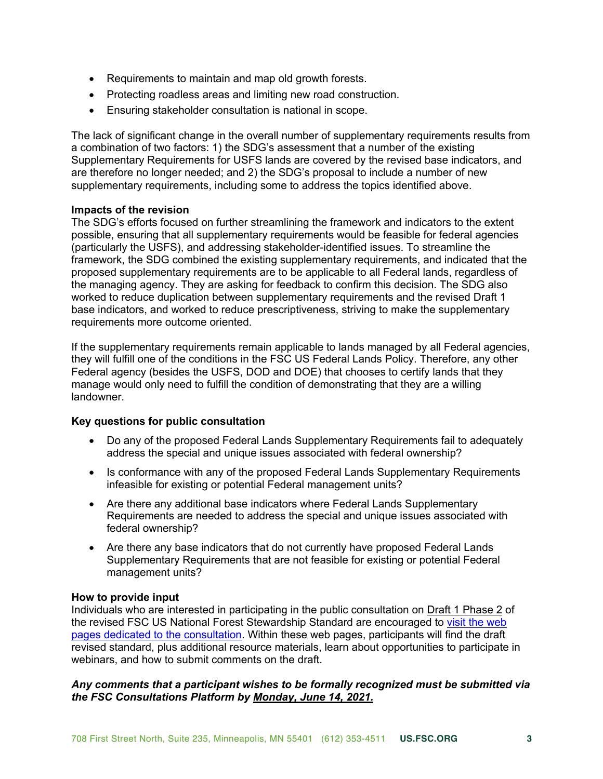- Requirements to maintain and map old growth forests.
- Protecting roadless areas and limiting new road construction.
- Ensuring stakeholder consultation is national in scope.

The lack of significant change in the overall number of supplementary requirements results from a combination of two factors: 1) the SDG's assessment that a number of the existing Supplementary Requirements for USFS lands are covered by the revised base indicators, and are therefore no longer needed; and 2) the SDG's proposal to include a number of new supplementary requirements, including some to address the topics identified above.

### **Impacts of the revision**

The SDG's efforts focused on further streamlining the framework and indicators to the extent possible, ensuring that all supplementary requirements would be feasible for federal agencies (particularly the USFS), and addressing stakeholder-identified issues. To streamline the framework, the SDG combined the existing supplementary requirements, and indicated that the proposed supplementary requirements are to be applicable to all Federal lands, regardless of the managing agency. They are asking for feedback to confirm this decision. The SDG also worked to reduce duplication between supplementary requirements and the revised Draft 1 base indicators, and worked to reduce prescriptiveness, striving to make the supplementary requirements more outcome oriented.

If the supplementary requirements remain applicable to lands managed by all Federal agencies, they will fulfill one of the conditions in the FSC US Federal Lands Policy. Therefore, any other Federal agency (besides the USFS, DOD and DOE) that chooses to certify lands that they manage would only need to fulfill the condition of demonstrating that they are a willing landowner.

## **Key questions for public consultation**

- Do any of the proposed Federal Lands Supplementary Requirements fail to adequately address the special and unique issues associated with federal ownership?
- Is conformance with any of the proposed Federal Lands Supplementary Requirements infeasible for existing or potential Federal management units?
- Are there any additional base indicators where Federal Lands Supplementary Requirements are needed to address the special and unique issues associated with federal ownership?
- Are there any base indicators that do not currently have proposed Federal Lands Supplementary Requirements that are not feasible for existing or potential Federal management units?

### **How to provide input**

Individuals who are interested in participating in the public consultation on Draft 1 Phase 2 of the revised FSC US National Forest Stewardship Standard are encouraged to [visit the web](https://www.engage.us.fsc.org)  [pages dedicated to the consultation.](https://www.engage.us.fsc.org) Within these web pages, participants will find the draft revised standard, plus additional resource materials, learn about opportunities to participate in webinars, and how to submit comments on the draft.

## *Any comments that a participant wishes to be formally recognized must be submitted via the FSC Consultations Platform by Monday, June 14, 2021.*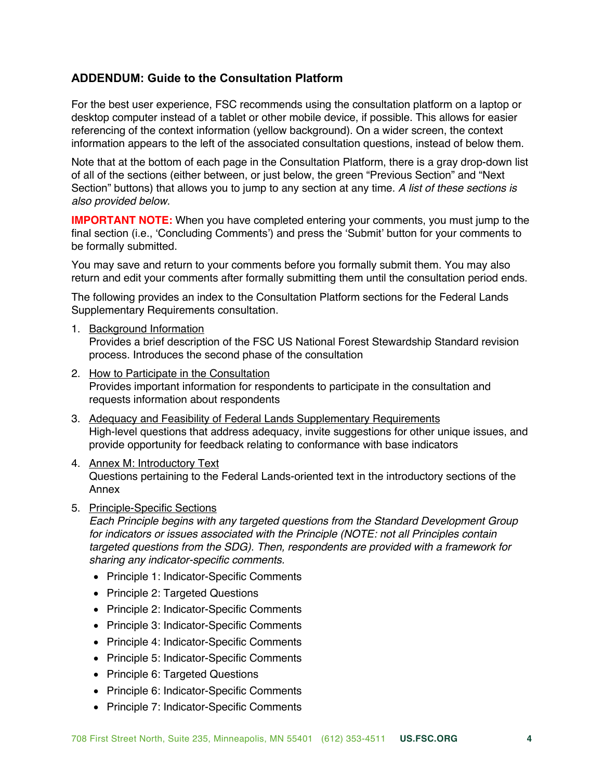# **ADDENDUM: Guide to the Consultation Platform**

For the best user experience, FSC recommends using the consultation platform on a laptop or desktop computer instead of a tablet or other mobile device, if possible. This allows for easier referencing of the context information (yellow background). On a wider screen, the context information appears to the left of the associated consultation questions, instead of below them.

Note that at the bottom of each page in the Consultation Platform, there is a gray drop-down list of all of the sections (either between, or just below, the green "Previous Section" and "Next Section" buttons) that allows you to jump to any section at any time. *A list of these sections is also provided below.*

**IMPORTANT NOTE:** When you have completed entering your comments, you must jump to the final section (i.e., 'Concluding Comments') and press the 'Submit' button for your comments to be formally submitted.

You may save and return to your comments before you formally submit them. You may also return and edit your comments after formally submitting them until the consultation period ends.

The following provides an index to the Consultation Platform sections for the Federal Lands Supplementary Requirements consultation.

1. Background Information

Provides a brief description of the FSC US National Forest Stewardship Standard revision process. Introduces the second phase of the consultation

- 2. How to Participate in the Consultation Provides important information for respondents to participate in the consultation and requests information about respondents
- 3. Adequacy and Feasibility of Federal Lands Supplementary Requirements High-level questions that address adequacy, invite suggestions for other unique issues, and provide opportunity for feedback relating to conformance with base indicators
- 4. Annex M: Introductory Text Questions pertaining to the Federal Lands-oriented text in the introductory sections of the Annex
- 5. Principle-Specific Sections

*Each Principle begins with any targeted questions from the Standard Development Group for indicators or issues associated with the Principle (NOTE: not all Principles contain targeted questions from the SDG). Then, respondents are provided with a framework for sharing any indicator-specific comments.*

- Principle 1: Indicator-Specific Comments
- Principle 2: Targeted Questions
- Principle 2: Indicator-Specific Comments
- Principle 3: Indicator-Specific Comments
- Principle 4: Indicator-Specific Comments
- Principle 5: Indicator-Specific Comments
- Principle 6: Targeted Questions
- Principle 6: Indicator-Specific Comments
- Principle 7: Indicator-Specific Comments